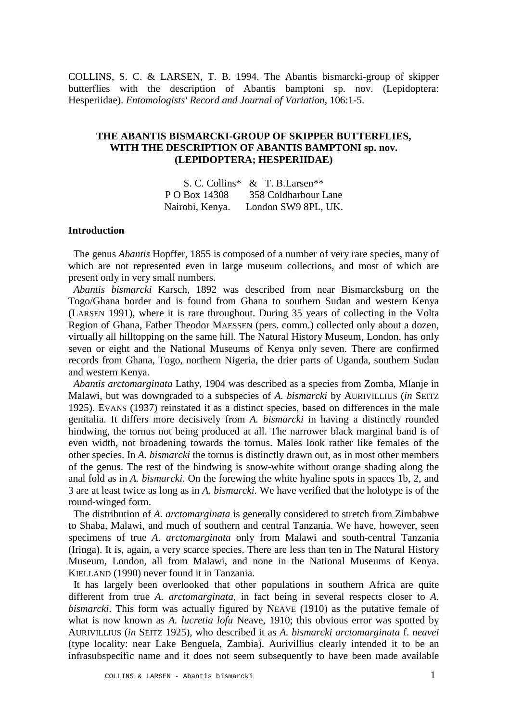COLLINS, S. C. & LARSEN, T. B. 1994. The Abantis bismarcki-group of skipper butterflies with the description of Abantis bamptoni sp. nov. (Lepidoptera: Hesperiidae). *Entomologists' Record and Journal of Variation*, 106:1-5.

# **THE ABANTIS BISMARCKI-GROUP OF SKIPPER BUTTERFLIES, WITH THE DESCRIPTION OF ABANTIS BAMPTONI sp. nov. (LEPIDOPTERA; HESPERIIDAE)**

|                 | S. C. Collins* & T. B. Larsen** |
|-----------------|---------------------------------|
| P O Box 14308   | 358 Coldharbour Lane            |
| Nairobi, Kenya. | London SW9 8PL, UK.             |

# **Introduction**

 The genus *Abantis* Hopffer, 1855 is composed of a number of very rare species, many of which are not represented even in large museum collections, and most of which are present only in very small numbers.

 *Abantis bismarcki* Karsch, 1892 was described from near Bismarcksburg on the Togo/Ghana border and is found from Ghana to southern Sudan and western Kenya (LARSEN 1991), where it is rare throughout. During 35 years of collecting in the Volta Region of Ghana, Father Theodor MAESSEN (pers. comm.) collected only about a dozen, virtually all hilltopping on the same hill. The Natural History Museum, London, has only seven or eight and the National Museums of Kenya only seven. There are confirmed records from Ghana, Togo, northern Nigeria, the drier parts of Uganda, southern Sudan and western Kenya.

 *Abantis arctomarginata* Lathy, 1904 was described as a species from Zomba, Mlanje in Malawi, but was downgraded to a subspecies of *A. bismarcki* by AURIVILLIUS (*in* SEITZ 1925). EVANS (1937) reinstated it as a distinct species, based on differences in the male genitalia. It differs more decisively from *A. bismarcki* in having a distinctly rounded hindwing, the tornus not being produced at all. The narrower black marginal band is of even width, not broadening towards the tornus. Males look rather like females of the other species. In *A. bismarcki* the tornus is distinctly drawn out, as in most other members of the genus. The rest of the hindwing is snow-white without orange shading along the anal fold as in *A. bismarcki*. On the forewing the white hyaline spots in spaces 1b, 2, and 3 are at least twice as long as in *A. bismarcki.* We have verified that the holotype is of the round-winged form.

 The distribution of *A. arctomarginata* is generally considered to stretch from Zimbabwe to Shaba, Malawi, and much of southern and central Tanzania. We have, however, seen specimens of true *A. arctomarginata* only from Malawi and south-central Tanzania (Iringa). It is, again, a very scarce species. There are less than ten in The Natural History Museum, London, all from Malawi, and none in the National Museums of Kenya. KIELLAND (1990) never found it in Tanzania.

 It has largely been overlooked that other populations in southern Africa are quite different from true *A. arctomarginata*, in fact being in several respects closer to *A. bismarcki*. This form was actually figured by NEAVE (1910) as the putative female of what is now known as *A. lucretia lofu* Neave, 1910; this obvious error was spotted by AURIVILLIUS (*in* SEITZ 1925), who described it as *A. bismarcki arctomarginata* f. *neavei* (type locality: near Lake Benguela, Zambia). Aurivillius clearly intended it to be an infrasubspecific name and it does not seem subsequently to have been made available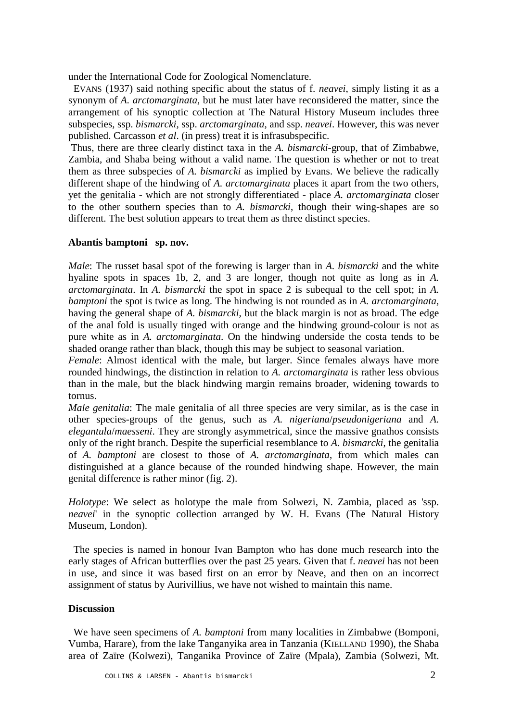under the International Code for Zoological Nomenclature.

 EVANS (1937) said nothing specific about the status of f. *neavei*, simply listing it as a synonym of *A. arctomarginata*, but he must later have reconsidered the matter, since the arrangement of his synoptic collection at The Natural History Museum includes three subspecies, ssp. *bismarcki*, ssp. *arctomarginata*, and ssp. *neavei*. However, this was never published. Carcasson *et al*. (in press) treat it is infrasubspecific.

 Thus, there are three clearly distinct taxa in the *A. bismarcki*-group, that of Zimbabwe, Zambia, and Shaba being without a valid name. The question is whether or not to treat them as three subspecies of *A. bismarcki* as implied by Evans. We believe the radically different shape of the hindwing of *A. arctomarginata* places it apart from the two others, yet the genitalia - which are not strongly differentiated - place *A. arctomarginata* closer to the other southern species than to *A. bismarcki*, though their wing-shapes are so different. The best solution appears to treat them as three distinct species.

### **Abantis bamptoni sp. nov.**

*Male*: The russet basal spot of the forewing is larger than in *A. bismarcki* and the white hyaline spots in spaces 1b, 2, and 3 are longer, though not quite as long as in *A*. *arctomarginata*. In *A. bismarcki* the spot in space 2 is subequal to the cell spot; in *A. bamptoni* the spot is twice as long. The hindwing is not rounded as in *A. arctomarginata*, having the general shape of *A. bismarcki*, but the black margin is not as broad. The edge of the anal fold is usually tinged with orange and the hindwing ground-colour is not as pure white as in *A. arctomarginata*. On the hindwing underside the costa tends to be shaded orange rather than black, though this may be subject to seasonal variation.

*Female*: Almost identical with the male, but larger. Since females always have more rounded hindwings, the distinction in relation to *A. arctomarginata* is rather less obvious than in the male, but the black hindwing margin remains broader, widening towards to tornus.

*Male genitalia*: The male genitalia of all three species are very similar, as is the case in other species-groups of the genus, such as *A. nigeriana*/*pseudonigeriana* and *A. elegantula*/*maesseni*. They are strongly asymmetrical, since the massive gnathos consists only of the right branch. Despite the superficial resemblance to *A. bismarcki*, the genitalia of *A. bamptoni* are closest to those of *A. arctomarginata*, from which males can distinguished at a glance because of the rounded hindwing shape. However, the main genital difference is rather minor (fig. 2).

*Holotype*: We select as holotype the male from Solwezi, N. Zambia, placed as 'ssp. *neavei*' in the synoptic collection arranged by W. H. Evans (The Natural History Museum, London).

 The species is named in honour Ivan Bampton who has done much research into the early stages of African butterflies over the past 25 years. Given that f. *neavei* has not been in use, and since it was based first on an error by Neave, and then on an incorrect assignment of status by Aurivillius, we have not wished to maintain this name.

# **Discussion**

 We have seen specimens of *A. bamptoni* from many localities in Zimbabwe (Bomponi, Vumba, Harare), from the lake Tanganyika area in Tanzania (KIELLAND 1990), the Shaba area of Zaïre (Kolwezi), Tanganika Province of Zaïre (Mpala), Zambia (Solwezi, Mt.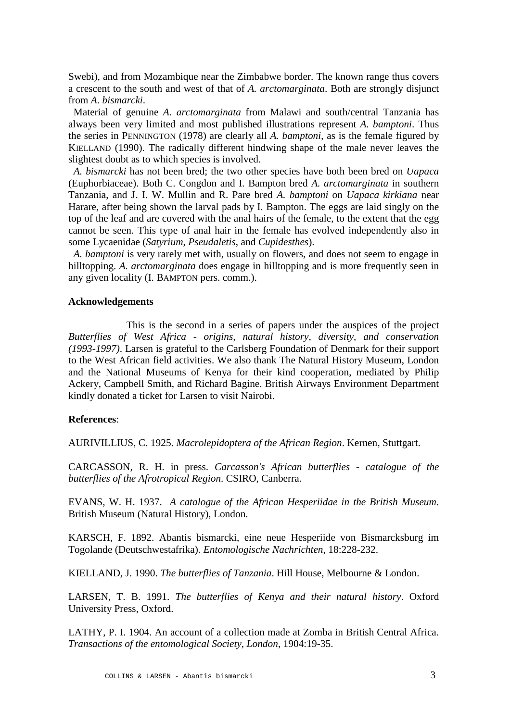Swebi), and from Mozambique near the Zimbabwe border. The known range thus covers a crescent to the south and west of that of *A. arctomarginata*. Both are strongly disjunct from *A. bismarcki*.

 Material of genuine *A. arctomarginata* from Malawi and south/central Tanzania has always been very limited and most published illustrations represent *A. bamptoni*. Thus the series in PENNINGTON (1978) are clearly all *A. bamptoni*, as is the female figured by KIELLAND (1990). The radically different hindwing shape of the male never leaves the slightest doubt as to which species is involved.

 *A. bismarcki* has not been bred; the two other species have both been bred on *Uapaca* (Euphorbiaceae). Both C. Congdon and I. Bampton bred *A. arctomarginata* in southern Tanzania, and J. I. W. Mullin and R. Pare bred *A. bamptoni* on *Uapaca kirkiana* near Harare, after being shown the larval pads by I. Bampton. The eggs are laid singly on the top of the leaf and are covered with the anal hairs of the female, to the extent that the egg cannot be seen. This type of anal hair in the female has evolved independently also in some Lycaenidae (*Satyrium*, *Pseudaletis*, and *Cupidesthes*).

 *A. bamptoni* is very rarely met with, usually on flowers, and does not seem to engage in hilltopping. *A. arctomarginata* does engage in hilltopping and is more frequently seen in any given locality (I. BAMPTON pers. comm.).

### **Acknowledgements**

 This is the second in a series of papers under the auspices of the project *Butterflies of West Africa - origins, natural history, diversity, and conservation (1993-1997)*. Larsen is grateful to the Carlsberg Foundation of Denmark for their support to the West African field activities. We also thank The Natural History Museum, London and the National Museums of Kenya for their kind cooperation, mediated by Philip Ackery, Campbell Smith, and Richard Bagine. British Airways Environment Department kindly donated a ticket for Larsen to visit Nairobi.

### **References**:

AURIVILLIUS, C. 1925. *Macrolepidoptera of the African Region*. Kernen, Stuttgart.

CARCASSON, R. H. in press. *Carcasson's African butterflies - catalogue of the butterflies of the Afrotropical Region*. CSIRO, Canberra.

EVANS, W. H. 1937. *A catalogue of the African Hesperiidae in the British Museum*. British Museum (Natural History), London.

KARSCH, F. 1892. Abantis bismarcki, eine neue Hesperiide von Bismarcksburg im Togolande (Deutschwestafrika). *Entomologische Nachrichten*, 18:228-232.

KIELLAND, J. 1990. *The butterflies of Tanzania*. Hill House, Melbourne & London.

LARSEN, T. B. 1991. *The butterflies of Kenya and their natural history*. Oxford University Press, Oxford.

LATHY, P. I. 1904. An account of a collection made at Zomba in British Central Africa. *Transactions of the entomological Society, London*, 1904:19-35.